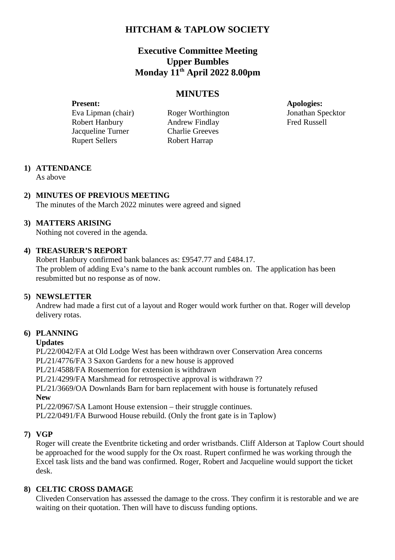# **HITCHAM & TAPLOW SOCIETY**

# **Executive Committee Meeting Upper Bumbles Monday 11th April 2022 8.00pm**

# **MINUTES**

**Present: Apologies:** Eva Lipman (chair) Roger Worthington Jonathan Specktor Robert Hanbury **Andrew Findlay** Fred Russell Jacqueline Turner Charlie Greeves Rupert Sellers Robert Harrap

# **1) ATTENDANCE**

As above

## **2) MINUTES OF PREVIOUS MEETING**

The minutes of the March 2022 minutes were agreed and signed

### **3) MATTERS ARISING**

Nothing not covered in the agenda.

#### **4) TREASURER'S REPORT**

Robert Hanbury confirmed bank balances as: £9547.77 and £484.17. The problem of adding Eva's name to the bank account rumbles on. The application has been resubmitted but no response as of now.

#### **5) NEWSLETTER**

Andrew had made a first cut of a layout and Roger would work further on that. Roger will develop delivery rotas.

#### **6) PLANNING**

#### **Updates**

PL/22/0042/FA at Old Lodge West has been withdrawn over Conservation Area concerns PL/21/4776/FA 3 Saxon Gardens for a new house is approved PL/21/4588/FA Rosemerrion for extension is withdrawn PL/21/4299/FA Marshmead for retrospective approval is withdrawn ?? PL/21/3669/OA Downlands Barn for barn replacement with house is fortunately refused **New**

PL/22/0967/SA Lamont House extension – their struggle continues. PL/22/0491/FA Burwood House rebuild. (Only the front gate is in Taplow)

#### **7) VGP**

Roger will create the Eventbrite ticketing and order wristbands. Cliff Alderson at Taplow Court should be approached for the wood supply for the Ox roast. Rupert confirmed he was working through the Excel task lists and the band was confirmed. Roger, Robert and Jacqueline would support the ticket desk.

## **8) CELTIC CROSS DAMAGE**

Cliveden Conservation has assessed the damage to the cross. They confirm it is restorable and we are waiting on their quotation. Then will have to discuss funding options.